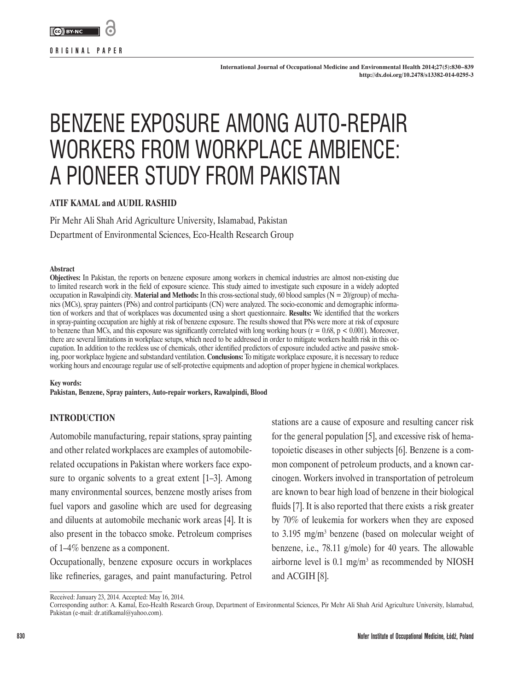

**ORIGINAL PAPER**

# BENZENE EXPOSURE AMONG AUTO-REPAIR WORKERS FROM WORKPLACE AMBIENCE: A PIONEER STUDY FROM PAKISTAN

# **ATIF KAMAL and AUDIL RASHID**

Pir Mehr Ali Shah Arid Agriculture University, Islamabad, Pakistan Department of Environmental Sciences, Eco-Health Research Group

#### **Abstract**

**Objectives:** In Pakistan, the reports on benzene exposure among workers in chemical industries are almost non-existing due to limited research work in the field of exposure science. This study aimed to investigate such exposure in a widely adopted occupation in Rawalpindi city. **Material and Methods:** In this cross-sectional study, 60 blood samples (N = 20/group) of mechanics (MCs), spray painters (PNs) and control participants (CN) were analyzed. The socio-economic and demographic information of workers and that of workplaces was documented using a short questionnaire. **Results:** We identified that the workers in spray-painting occupation are highly at risk of benzene exposure. The results showed that PNs were more at risk of exposure to benzene than MCs, and this exposure was significantly correlated with long working hours ( $r = 0.68$ ,  $p < 0.001$ ). Moreover, there are several limitations in workplace setups, which need to be addressed in order to mitigate workers health risk in this occupation. In addition to the reckless use of chemicals, other identified predictors of exposure included active and passive smoking, poor workplace hygiene and substandard ventilation. **Conclusions:** To mitigate workplace exposure, it is necessary to reduce working hours and encourage regular use of self-protective equipments and adoption of proper hygiene in chemical workplaces.

**Key words:**

**Pakistan, Benzene, Spray painters, Auto-repair workers, Rawalpindi, Blood**

# **INTRODUCTION**

Automobile manufacturing, repair stations, spray painting and other related workplaces are examples of automobilerelated occupations in Pakistan where workers face exposure to organic solvents to a great extent [1–3]. Among many environmental sources, benzene mostly arises from fuel vapors and gasoline which are used for degreasing and diluents at automobile mechanic work areas [4]. It is also present in the tobacco smoke. Petroleum comprises of 1–4% benzene as a component.

Occupationally, benzene exposure occurs in workplaces like refineries, garages, and paint manufacturing. Petrol

stations are a cause of exposure and resulting cancer risk for the general population [5], and excessive risk of hematopoietic diseases in other subjects [6]. Benzene is a common component of petroleum products, and a known carcinogen. Workers involved in transportation of petroleum are known to bear high load of benzene in their biological fluids [7]. It is also reported that there exists a risk greater by 70% of leukemia for workers when they are exposed to 3.195 mg/m<sup>3</sup> benzene (based on molecular weight of benzene, i.e., 78.11 g/mole) for 40 years. The allowable airborne level is  $0.1 \text{ mg/m}^3$  as recommended by NIOSH and ACGIH [8].

Received: January 23, 2014. Accepted: May 16, 2014.

Corresponding author: A. Kamal, Eco-Health Research Group, Department of Environmental Sciences, Pir Mehr Ali Shah Arid Agriculture University, Islamabad, Pakistan (e-mail: dr.atifkamal@yahoo.com).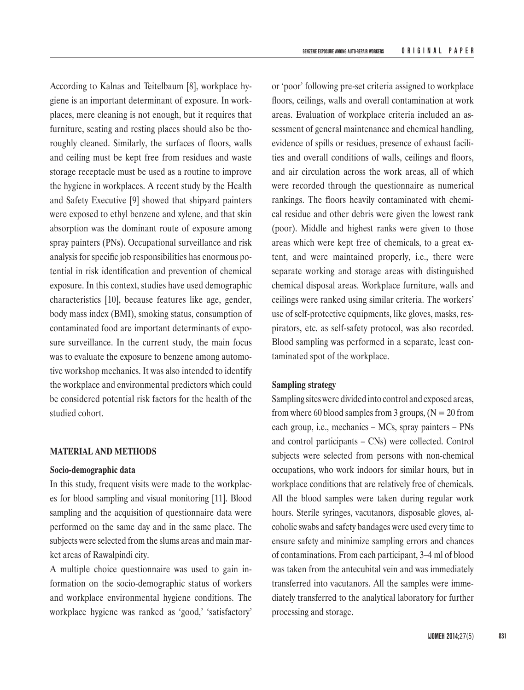According to Kalnas and Teitelbaum [8], workplace hygiene is an important determinant of exposure. In workplaces, mere cleaning is not enough, but it requires that furniture, seating and resting places should also be thoroughly cleaned. Similarly, the surfaces of floors, walls and ceiling must be kept free from residues and waste storage receptacle must be used as a routine to improve the hygiene in workplaces. A recent study by the Health and Safety Executive [9] showed that shipyard painters were exposed to ethyl benzene and xylene, and that skin absorption was the dominant route of exposure among spray painters (PNs). Occupational surveillance and risk analysis for specific job responsibilities has enormous potential in risk identification and prevention of chemical exposure. In this context, studies have used demographic characteristics [10], because features like age, gender, body mass index (BMI), smoking status, consumption of contaminated food are important determinants of exposure surveillance. In the current study, the main focus was to evaluate the exposure to benzene among automotive workshop mechanics. It was also intended to identify the workplace and environmental predictors which could be considered potential risk factors for the health of the studied cohort.

## **MATERIAL AND METHODS**

#### **Socio-demographic data**

In this study, frequent visits were made to the workplaces for blood sampling and visual monitoring [11]. Blood sampling and the acquisition of questionnaire data were performed on the same day and in the same place. The subjects were selected from the slums areas and main market areas of Rawalpindi city.

A multiple choice questionnaire was used to gain information on the socio-demographic status of workers and workplace environmental hygiene conditions. The workplace hygiene was ranked as 'good,' 'satisfactory'

or 'poor' following pre-set criteria assigned to workplace floors, ceilings, walls and overall contamination at work areas. Evaluation of workplace criteria included an assessment of general maintenance and chemical handling, evidence of spills or residues, presence of exhaust facilities and overall conditions of walls, ceilings and floors, and air circulation across the work areas, all of which were recorded through the questionnaire as numerical rankings. The floors heavily contaminated with chemical residue and other debris were given the lowest rank (poor). Middle and highest ranks were given to those areas which were kept free of chemicals, to a great extent, and were maintained properly, i.e., there were separate working and storage areas with distinguished chemical disposal areas. Workplace furniture, walls and ceilings were ranked using similar criteria. The workers' use of self-protective equipments, like gloves, masks, respirators, etc. as self-safety protocol, was also recorded. Blood sampling was performed in a separate, least contaminated spot of the workplace.

# **Sampling strategy**

Sampling sites were divided into control and exposed areas, from where 60 blood samples from 3 groups,  $(N = 20$  from each group, i.e., mechanics – MCs, spray painters – PNs and control participants – CNs) were collected. Control subjects were selected from persons with non-chemical occupations, who work indoors for similar hours, but in workplace conditions that are relatively free of chemicals. All the blood samples were taken during regular work hours. Sterile syringes, vacutanors, disposable gloves, alcoholic swabs and safety bandages were used every time to ensure safety and minimize sampling errors and chances of contaminations. From each participant, 3–4 ml of blood was taken from the antecubital vein and was immediately transferred into vacutanors. All the samples were immediately transferred to the analytical laboratory for further processing and storage.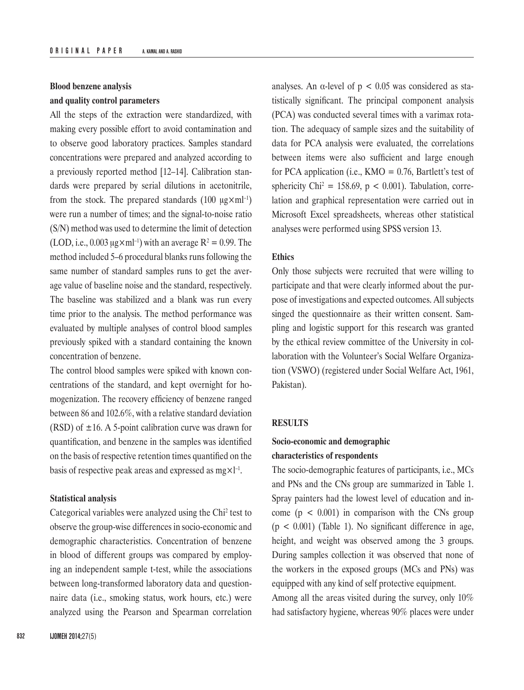# **Blood benzene analysis and quality control parameters**

All the steps of the extraction were standardized, with making every possible effort to avoid contamination and to observe good laboratory practices. Samples standard concentrations were prepared and analyzed according to a previously reported method [12–14]. Calibration standards were prepared by serial dilutions in acetonitrile, from the stock. The prepared standards (100  $\mu$ g×ml<sup>-1</sup>) were run a number of times; and the signal-to-noise ratio (S/N) method was used to determine the limit of detection (LOD, i.e., 0.003  $\mu$ g×ml<sup>-1</sup>) with an average R<sup>2</sup> = 0.99. The method included 5–6 procedural blanks runs following the same number of standard samples runs to get the average value of baseline noise and the standard, respectively. The baseline was stabilized and a blank was run every time prior to the analysis. The method performance was evaluated by multiple analyses of control blood samples previously spiked with a standard containing the known concentration of benzene.

The control blood samples were spiked with known concentrations of the standard, and kept overnight for homogenization. The recovery efficiency of benzene ranged between 86 and 102.6%, with a relative standard deviation (RSD) of  $\pm 16$ . A 5-point calibration curve was drawn for quantification, and benzene in the samples was identified on the basis of respective retention times quantified on the basis of respective peak areas and expressed as  $mg \times l^{-1}$ .

#### **Statistical analysis**

Categorical variables were analyzed using the Chi<sup>2</sup> test to observe the group-wise differences in socio-economic and demographic characteristics. Concentration of benzene in blood of different groups was compared by employing an independent sample t-test, while the associations between long-transformed laboratory data and questionnaire data (i.e., smoking status, work hours, etc.) were analyzed using the Pearson and Spearman correlation

analyses. An  $\alpha$ -level of  $p < 0.05$  was considered as statistically significant. The principal component analysis (PCA) was conducted several times with a varimax rotation. The adequacy of sample sizes and the suitability of data for PCA analysis were evaluated, the correlations between items were also sufficient and large enough for PCA application (i.e.,  $KMO = 0.76$ , Bartlett's test of sphericity Chi<sup>2</sup> = 158.69,  $p < 0.001$ ). Tabulation, correlation and graphical representation were carried out in Microsoft Excel spreadsheets, whereas other statistical analyses were performed using SPSS version 13.

#### **Ethics**

Only those subjects were recruited that were willing to participate and that were clearly informed about the purpose of investigations and expected outcomes. All subjects singed the questionnaire as their written consent. Sampling and logistic support for this research was granted by the ethical review committee of the University in collaboration with the Volunteer's Social Welfare Organization (VSWO) (registered under Social Welfare Act, 1961, Pakistan).

#### **RESULTS**

# **Socio-economic and demographic characteristics of respondents**

The socio-demographic features of participants, i.e., MCs and PNs and the CNs group are summarized in Table 1. Spray painters had the lowest level of education and income  $(p < 0.001)$  in comparison with the CNs group  $(p < 0.001)$  (Table 1). No significant difference in age, height, and weight was observed among the 3 groups. During samples collection it was observed that none of the workers in the exposed groups (MCs and PNs) was equipped with any kind of self protective equipment.

Among all the areas visited during the survey, only 10% had satisfactory hygiene, whereas 90% places were under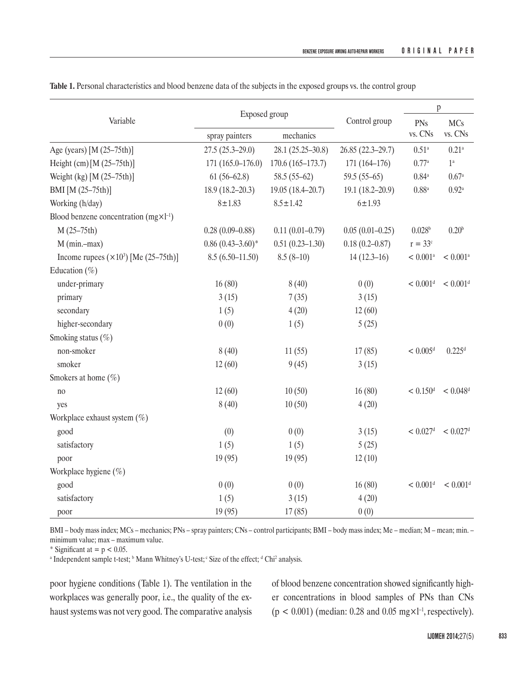| Variable                                     | Exposed group               |                      |                     | $\mathbf{p}$           |                        |
|----------------------------------------------|-----------------------------|----------------------|---------------------|------------------------|------------------------|
|                                              | mechanics<br>spray painters |                      | Control group       | PNs<br>vs. CNs         | <b>MCs</b><br>vs. CNs  |
| Age (years) [M (25-75th)]                    | $27.5(25.3-29.0)$           | $28.1(25.25-30.8)$   | 26.85 (22.3-29.7)   | $0.51^{\rm a}$         | $0.21^{\rm a}$         |
| Height (cm) $[M (25-75th)]$                  | $171(165.0-176.0)$          | $170.6(165 - 173.7)$ | $171(164 - 176)$    | 0.77a                  | $1^{\rm a}$            |
| Weight (kg) [M (25–75th)]                    | $61(56-62.8)$               | $58.5(55-62)$        | $59.5(55-65)$       | $0.84^{\mathrm{a}}$    | $0.67$ <sup>a</sup>    |
| BMI [M (25-75th)]                            | $18.9(18.2 - 20.3)$         | $19.05(18.4 - 20.7)$ | $19.1(18.2 - 20.9)$ | $0.88^{a}$             | $0.92^{\mathrm{a}}$    |
| Working (h/day)                              | $8 + 1.83$                  | $8.5 \pm 1.42$       | $6 + 1.93$          |                        |                        |
| Blood benzene concentration $(mgxl^{-1})$    |                             |                      |                     |                        |                        |
| $M(25-75th)$                                 | $0.28(0.09 - 0.88)$         | $0.11(0.01 - 0.79)$  | $0.05(0.01 - 0.25)$ | $0.028^{\rm b}$        | 0.20 <sup>b</sup>      |
| $M$ (min.-max)                               | $0.86(0.43 - 3.60)^*$       | $0.51(0.23 - 1.30)$  | $0.18(0.2 - 0.87)$  | $r = 33c$              |                        |
| Income rupees $(\times 10^3)$ [Me (25–75th)] | $8.5(6.50-11.50)$           | $8.5(8-10)$          | $14(12.3-16)$       | $< 0.001$ <sup>a</sup> | $< 0.001$ <sup>a</sup> |
| Education $(\% )$                            |                             |                      |                     |                        |                        |
| under-primary                                | 16(80)                      | 8(40)                | 0(0)                | $< 0.001$ <sup>d</sup> | $< 0.001$ <sup>d</sup> |
| primary                                      | 3(15)                       | 7(35)                | 3(15)               |                        |                        |
| secondary                                    | 1(5)                        | 4(20)                | 12(60)              |                        |                        |
| higher-secondary                             | 0(0)                        | 1(5)                 | 5(25)               |                        |                        |
| Smoking status $(\% )$                       |                             |                      |                     |                        |                        |
| non-smoker                                   | 8(40)                       | 11(55)               | 17(85)              | $< 0.005$ <sup>d</sup> | 0.225 <sup>d</sup>     |
| smoker                                       | 12(60)                      | 9(45)                | 3(15)               |                        |                        |
| Smokers at home $(\% )$                      |                             |                      |                     |                        |                        |
| no                                           | 12(60)                      | 10(50)               | 16(80)              | $< 0.150$ <sup>d</sup> | $< 0.048$ <sup>d</sup> |
| yes                                          | 8(40)                       | 10(50)               | 4(20)               |                        |                        |
| Workplace exhaust system $(\%)$              |                             |                      |                     |                        |                        |
| good                                         | (0)                         | 0(0)                 | 3(15)               | $< 0.027$ <sup>d</sup> | $< 0.027$ <sup>d</sup> |
| satisfactory                                 | 1(5)                        | 1(5)                 | 5(25)               |                        |                        |
| poor                                         | 19(95)                      | 19(95)               | 12(10)              |                        |                        |
| Workplace hygiene $(\% )$                    |                             |                      |                     |                        |                        |
| good                                         | 0(0)                        | 0(0)                 | 16(80)              | $< 0.001$ <sup>d</sup> | $< 0.001$ <sup>d</sup> |
| satisfactory                                 | 1(5)                        | 3(15)                | 4(20)               |                        |                        |
| poor                                         | 19(95)                      | 17(85)               | 0(0)                |                        |                        |

**Table 1.** Personal characteristics and blood benzene data of the subjects in the exposed groups vs. the control group

BMI – body mass index; MCs – mechanics; PNs – spray painters; CNs – control participants; BMI – body mass index; Me – median; M – mean; min. – minimum value; max – maximum value.

\* Significant at  $= p < 0.05$ .

a Independent sample t-test; <sup>b</sup> Mann Whitney's U-test; c Size of the effect; <sup>d</sup> Chi<sup>2</sup> analysis.

poor hygiene conditions (Table 1). The ventilation in the workplaces was generally poor, i.e., the quality of the exhaust systems was not very good. The comparative analysis of blood benzene concentration showed significantly higher concentrations in blood samples of PNs than CNs ( $p < 0.001$ ) (median: 0.28 and 0.05 mg $\times$ 1<sup>-1</sup>, respectively).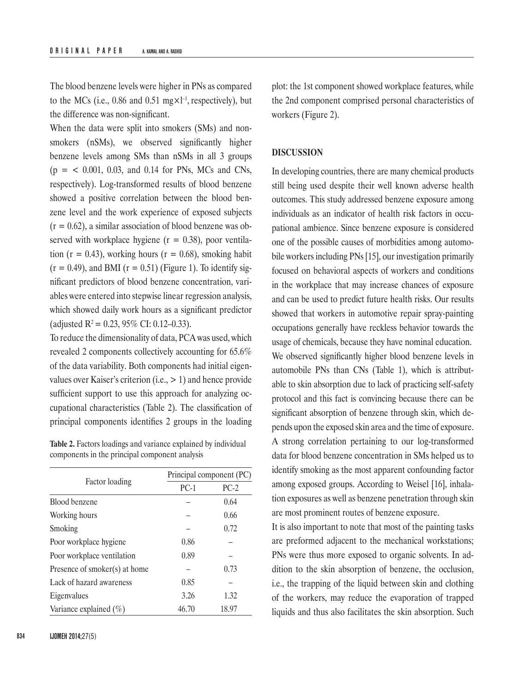The blood benzene levels were higher in PNs as compared to the MCs (i.e., 0.86 and 0.51 mg $\times$ 1<sup>-1</sup>, respectively), but the difference was non-significant.

When the data were split into smokers (SMs) and nonsmokers (nSMs), we observed significantly higher benzene levels among SMs than nSMs in all 3 groups  $(p = 0.001, 0.03,$  and 0.14 for PNs, MCs and CNs, respectively). Log-transformed results of blood benzene showed a positive correlation between the blood benzene level and the work experience of exposed subjects  $(r = 0.62)$ , a similar association of blood benzene was observed with workplace hygiene  $(r = 0.38)$ , poor ventilation ( $r = 0.43$ ), working hours ( $r = 0.68$ ), smoking habit  $(r = 0.49)$ , and BMI  $(r = 0.51)$  (Figure 1). To identify significant predictors of blood benzene concentration, variables were entered into stepwise linear regression analysis, which showed daily work hours as a significant predictor (adjusted  $R^2 = 0.23, 95\%$  CI: 0.12–0.33).

To reduce the dimensionality of data, PCA was used, which revealed 2 components collectively accounting for 65.6% of the data variability. Both components had initial eigenvalues over Kaiser's criterion (i.e., > 1) and hence provide sufficient support to use this approach for analyzing occupational characteristics (Table 2). The classification of principal components identifies 2 groups in the loading

**Table 2.** Factors loadings and variance explained by individual components in the principal component analysis

|                               | Principal component (PC) |        |  |  |
|-------------------------------|--------------------------|--------|--|--|
| Factor loading                | $PC-1$                   | $PC-2$ |  |  |
| Blood benzene                 |                          | 0.64   |  |  |
| Working hours                 |                          | 0.66   |  |  |
| Smoking                       |                          | 0.72   |  |  |
| Poor workplace hygiene        | 0.86                     |        |  |  |
| Poor workplace ventilation    | 0.89                     |        |  |  |
| Presence of smoker(s) at home |                          | 0.73   |  |  |
| Lack of hazard awareness      | 0.85                     |        |  |  |
| Eigenvalues                   | 3.26                     | 1.32   |  |  |
| Variance explained $(\% )$    | 46.70                    | 18.97  |  |  |

plot: the 1st component showed workplace features, while the 2nd component comprised personal characteristics of workers (Figure 2).

## **DISCUSSION**

In developing countries, there are many chemical products still being used despite their well known adverse health outcomes. This study addressed benzene exposure among individuals as an indicator of health risk factors in occupational ambience. Since benzene exposure is considered one of the possible causes of morbidities among automobile workers including PNs [15], our investigation primarily focused on behavioral aspects of workers and conditions in the workplace that may increase chances of exposure and can be used to predict future health risks. Our results showed that workers in automotive repair spray-painting occupations generally have reckless behavior towards the usage of chemicals, because they have nominal education. We observed significantly higher blood benzene levels in automobile PNs than CNs (Table 1), which is attributable to skin absorption due to lack of practicing self-safety protocol and this fact is convincing because there can be significant absorption of benzene through skin, which depends upon the exposed skin area and the time of exposure. A strong correlation pertaining to our log-transformed data for blood benzene concentration in SMs helped us to identify smoking as the most apparent confounding factor among exposed groups. According to Weisel [16], inhalation exposures as well as benzene penetration through skin are most prominent routes of benzene exposure.

It is also important to note that most of the painting tasks are preformed adjacent to the mechanical workstations; PNs were thus more exposed to organic solvents. In addition to the skin absorption of benzene, the occlusion, i.e., the trapping of the liquid between skin and clothing of the workers, may reduce the evaporation of trapped liquids and thus also facilitates the skin absorption. Such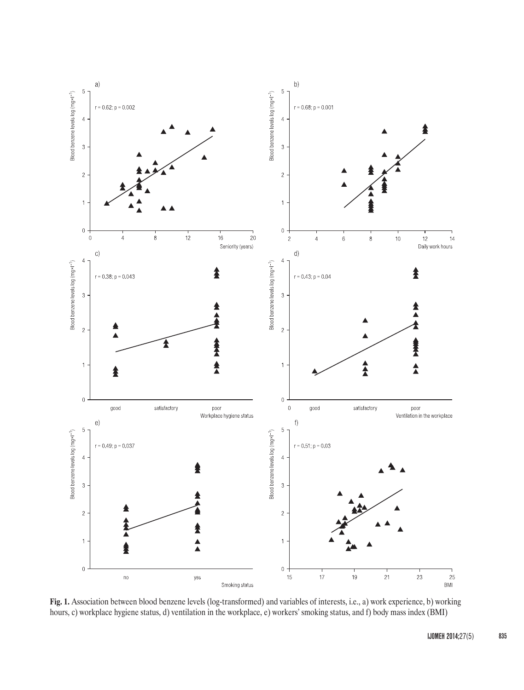

**Fig. 1.** Association between blood benzene levels (log-transformed) and variables of interests, i.e., a) work experience, b) working hours, c) workplace hygiene status, d) ventilation in the workplace, e) workers' smoking status, and f) body mass index (BMI)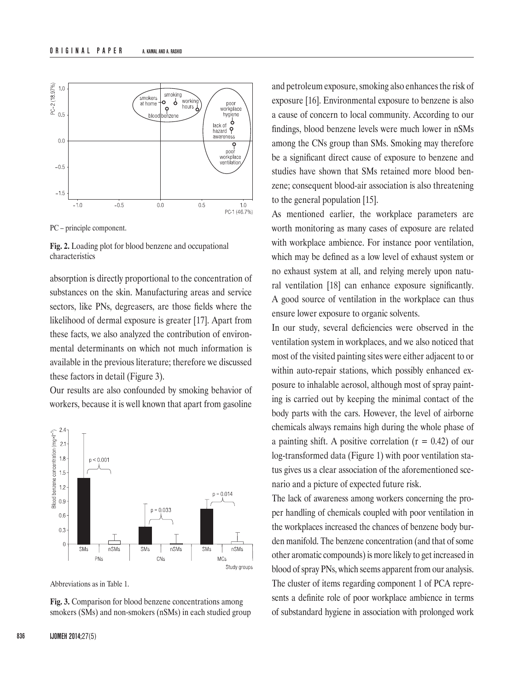

PC – principle component.



absorption is directly proportional to the concentration of substances on the skin. Manufacturing areas and service sectors, like PNs, degreasers, are those fields where the likelihood of dermal exposure is greater [17]. Apart from these facts, we also analyzed the contribution of environmental determinants on which not much information is available in the previous literature; therefore we discussed these factors in detail (Figure 3).

Our results are also confounded by smoking behavior of workers, because it is well known that apart from gasoline



Abbreviations as in Table 1.

**Fig. 3.** Comparison for blood benzene concentrations among smokers (SMs) and non-smokers (nSMs) in each studied group

and petroleum exposure, smoking also enhances the risk of exposure [16]. Environmental exposure to benzene is also a cause of concern to local community. According to our findings, blood benzene levels were much lower in nSMs among the CNs group than SMs. Smoking may therefore be a significant direct cause of exposure to benzene and studies have shown that SMs retained more blood benzene; consequent blood-air association is also threatening to the general population [15].

As mentioned earlier, the workplace parameters are worth monitoring as many cases of exposure are related with workplace ambience. For instance poor ventilation, which may be defined as a low level of exhaust system or no exhaust system at all, and relying merely upon natural ventilation [18] can enhance exposure significantly. A good source of ventilation in the workplace can thus ensure lower exposure to organic solvents.

In our study, several deficiencies were observed in the ventilation system in workplaces, and we also noticed that most of the visited painting sites were either adjacent to or within auto-repair stations, which possibly enhanced exposure to inhalable aerosol, although most of spray painting is carried out by keeping the minimal contact of the body parts with the cars. However, the level of airborne chemicals always remains high during the whole phase of a painting shift. A positive correlation  $(r = 0.42)$  of our log-transformed data (Figure 1) with poor ventilation status gives us a clear association of the aforementioned scenario and a picture of expected future risk.

The lack of awareness among workers concerning the proper handling of chemicals coupled with poor ventilation in the workplaces increased the chances of benzene body burden manifold. The benzene concentration (and that of some other aromatic compounds) is more likely to get increased in blood of spray PNs, which seems apparent from our analysis. The cluster of items regarding component 1 of PCA represents a definite role of poor workplace ambience in terms of substandard hygiene in association with prolonged work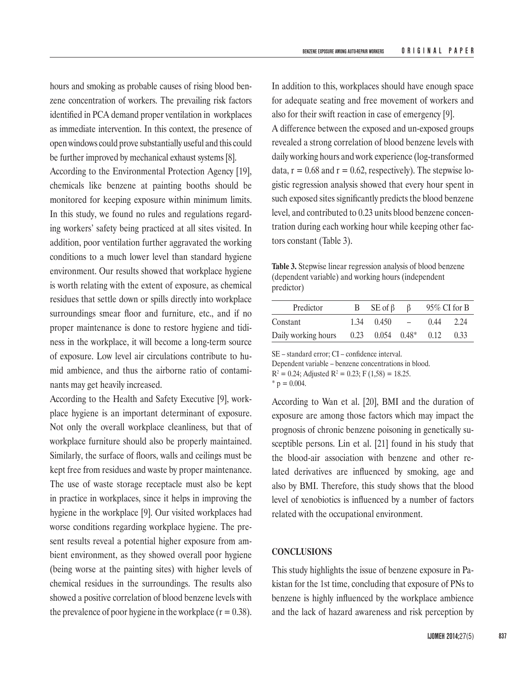hours and smoking as probable causes of rising blood benzene concentration of workers. The prevailing risk factors identified in PCA demand proper ventilation in workplaces as immediate intervention. In this context, the presence of open windows could prove substantially useful and this could be further improved by mechanical exhaust systems [8].

According to the Environmental Protection Agency [19], chemicals like benzene at painting booths should be monitored for keeping exposure within minimum limits. In this study, we found no rules and regulations regarding workers' safety being practiced at all sites visited. In addition, poor ventilation further aggravated the working conditions to a much lower level than standard hygiene environment. Our results showed that workplace hygiene is worth relating with the extent of exposure, as chemical residues that settle down or spills directly into workplace surroundings smear floor and furniture, etc., and if no proper maintenance is done to restore hygiene and tidiness in the workplace, it will become a long-term source of exposure. Low level air circulations contribute to humid ambience, and thus the airborne ratio of contaminants may get heavily increased.

According to the Health and Safety Executive [9], workplace hygiene is an important determinant of exposure. Not only the overall workplace cleanliness, but that of workplace furniture should also be properly maintained. Similarly, the surface of floors, walls and ceilings must be kept free from residues and waste by proper maintenance. The use of waste storage receptacle must also be kept in practice in workplaces, since it helps in improving the hygiene in the workplace [9]. Our visited workplaces had worse conditions regarding workplace hygiene. The present results reveal a potential higher exposure from ambient environment, as they showed overall poor hygiene (being worse at the painting sites) with higher levels of chemical residues in the surroundings. The results also showed a positive correlation of blood benzene levels with the prevalence of poor hygiene in the workplace  $(r = 0.38)$ . In addition to this, workplaces should have enough space for adequate seating and free movement of workers and also for their swift reaction in case of emergency [9]. A difference between the exposed and un-exposed groups revealed a strong correlation of blood benzene levels with daily working hours and work experience (log-transformed data,  $r = 0.68$  and  $r = 0.62$ , respectively). The stepwise logistic regression analysis showed that every hour spent in such exposed sites significantly predicts the blood benzene level, and contributed to 0.23 units blood benzene concentration during each working hour while keeping other factors constant (Table 3).

**Table 3.** Stepwise linear regression analysis of blood benzene (dependent variable) and working hours (independent predictor)

| Predictor           | B.   | $SE$ of $\beta$        |            |      | $95\%$ CI for B |
|---------------------|------|------------------------|------------|------|-----------------|
| Constant            | 1.34 | 0.450                  | $\sim$ $-$ | 0.44 | 2.24            |
| Daily working hours |      | $0.23$ $0.054$ $0.48*$ |            | 0.12 | 0.33            |

SE – standard error; CI – confidence interval.

Dependent variable – benzene concentrations in blood.  $R^2 = 0.24$ ; Adjusted  $R^2 = 0.23$ ; F (1,58) = 18.25.  $*$  p = 0.004.

According to Wan et al. [20], BMI and the duration of exposure are among those factors which may impact the prognosis of chronic benzene poisoning in genetically susceptible persons. Lin et al. [21] found in his study that the blood-air association with benzene and other related derivatives are influenced by smoking, age and also by BMI. Therefore, this study shows that the blood level of xenobiotics is influenced by a number of factors related with the occupational environment.

### **CONCLUSIONS**

This study highlights the issue of benzene exposure in Pakistan for the 1st time, concluding that exposure of PNs to benzene is highly influenced by the workplace ambience and the lack of hazard awareness and risk perception by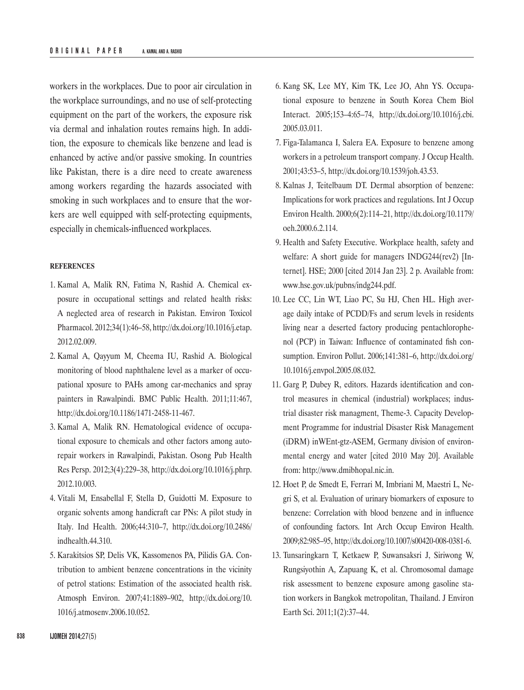workers in the workplaces. Due to poor air circulation in the workplace surroundings, and no use of self-protecting equipment on the part of the workers, the exposure risk via dermal and inhalation routes remains high. In addition, the exposure to chemicals like benzene and lead is enhanced by active and/or passive smoking. In countries like Pakistan, there is a dire need to create awareness among workers regarding the hazards associated with smoking in such workplaces and to ensure that the workers are well equipped with self-protecting equipments, especially in chemicals-influenced workplaces.

#### **REFERENCES**

- 1. Kamal A, Malik RN, Fatima N, Rashid A. Chemical exposure in occupational settings and related health risks: A neglected area of research in Pakistan. Environ Toxicol Pharmacol. 2012;34(1):46–58, [http://dx.doi.org/10.1016/j.etap.](http://dx.doi.org/10.1016/j.etap.2012.02.009) [2012.02.009.](http://dx.doi.org/10.1016/j.etap.2012.02.009)
- 2. Kamal A, Qayyum M, Cheema IU, Rashid A. Biological monitoring of blood naphthalene level as a marker of occupational xposure to PAHs among car-mechanics and spray painters in Rawalpindi. BMC Public Health. 2011;11:467, <http://dx.doi.org/10.1186/1471-2458-11-467>.
- 3. Kamal A, Malik RN. Hematological evidence of occupational exposure to chemicals and other factors among autorepair workers in Rawalpindi, Pakistan. Osong Pub Health Res Persp. 2012;3(4):229–38, [http://dx.doi.org/10.1016/j.phrp.](http://dx.doi.org/10.1016/j.phrp.2012.10.003) [2012.10.003.](http://dx.doi.org/10.1016/j.phrp.2012.10.003)
- 4. Vitali M, Ensabellal F, Stella D, Guidotti M. Exposure to organic solvents among handicraft car PNs: A pilot study in Italy. Ind Health. 2006;44:310–7, [http://dx.doi.org/10.2486/](http://dx.doi.org/10.2486/indhealth.44.310) [indhealth.44.310](http://dx.doi.org/10.2486/indhealth.44.310).
- 5. Karakitsios SP, Delis VK, Kassomenos PA, Pilidis GA. Contribution to ambient benzene concentrations in the vicinity of petrol stations: Estimation of the associated health risk. Atmosph Environ. 2007;41:1889–902, [http://dx.doi.org/10.](http://dx.doi.org/10.1016/j.atmosenv.2006.10.052) [1016/j.atmosenv.2006.10.052](http://dx.doi.org/10.1016/j.atmosenv.2006.10.052).
- 6. Kang SK, Lee MY, Kim TK, Lee JO, Ahn YS. Occupational exposure to benzene in South Korea Chem Biol Interact. 2005;153–4:65–74, [http://dx.doi.org/10.1016/j.cbi.](http://dx.doi.org/10.1016/j.cbi.2005.03.011) [2005.03.011](http://dx.doi.org/10.1016/j.cbi.2005.03.011).
- 7. Figa-Talamanca I, Salera EA. Exposure to benzene among workers in a petroleum transport company. J Occup Health. 2001;43:53–5,<http://dx.doi.org/10.1539/joh.43.53>.
- 8. Kalnas J, Teitelbaum DT. Dermal absorption of benzene: Implications for work practices and regulations. Int J Occup Environ Health. 2000;6(2):114–21, [http://dx.doi.org/10.1179/](http://dx.doi.org/10.1179/oeh.2000.6.2.114) [oeh.2000.6.2.114.](http://dx.doi.org/10.1179/oeh.2000.6.2.114)
- 9. Health and Safety Executive. Workplace health, safety and welfare: A short guide for managers INDG244(rev2) [Internet]. HSE; 2000 [cited 2014 Jan 23]. 2 p. Available from: [www.hse.gov.uk/pubns/indg244.pdf](http://www.hse.gov.uk/pubns/indg244.pdf).
- 10. Lee CC, Lin WT, Liao PC, Su HJ, Chen HL. High average daily intake of PCDD/Fs and serum levels in residents living near a deserted factory producing pentachlorophenol (PCP) in Taiwan: Influence of contaminated fish consumption. Environ Pollut. 2006;141:381–6, [http://dx.doi.org/](http://dx.doi.org/10.1016/j.envpol.2005.08.032) [10.1016/j.envpol.2005.08.032.](http://dx.doi.org/10.1016/j.envpol.2005.08.032)
- 11. Garg P, Dubey R, editors. Hazards identification and control measures in chemical (industrial) workplaces; industrial disaster risk managment, Theme-3. Capacity Development Programme for industrial Disaster Risk Management (iDRM) inWEnt-gtz-ASEM, Germany division of environmental energy and water [cited 2010 May 20]. Available from: http://[www.dmibhopal.nic.in.](http://www.dmibhopal.nic.in/)
- 12. Hoet P, de Smedt E, Ferrari M, Imbriani M, Maestri L, Negri S, et al. Evaluation of urinary biomarkers of exposure to benzene: Correlation with blood benzene and in influence of confounding factors. Int Arch Occup Environ Health. 2009;82:985–95, [http://dx.doi.org/10.1007/s00420-008-0381-6.](http://dx.doi.org/10.1007/s00420-008-0381-6)
- 13. Tunsaringkarn T, Ketkaew P, Suwansaksri J, Siriwong W, Rungsiyothin A, Zapuang K, et al. Chromosomal damage risk assessment to benzene exposure among gasoline station workers in Bangkok metropolitan, Thailand. J Environ Earth Sci. 2011;1(2):37–44.